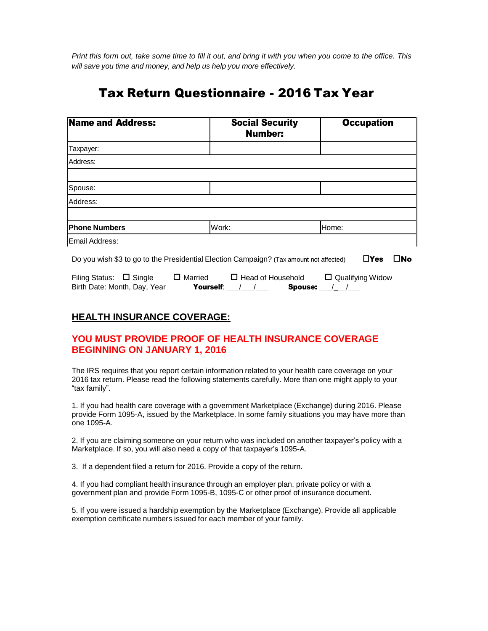Print this form out, take some time to fill it out, and bring it with you when you come to the office. This *will save you time and money, and help us help you more effectively.*

# Tax Return Questionnaire - 2016 Tax Year

| <b>Name and Address:</b> | <b>Social Security</b><br><b>Number:</b>                                               | <b>Occupation</b> |
|--------------------------|----------------------------------------------------------------------------------------|-------------------|
| Taxpayer:                |                                                                                        |                   |
| Address:                 |                                                                                        |                   |
| Spouse:                  |                                                                                        |                   |
| Address:                 |                                                                                        |                   |
| <b>Phone Numbers</b>     | Work:                                                                                  | Home:             |
| Email Address:           |                                                                                        |                   |
|                          | Do you wish \$3 to go to the Presidential Election Campaign? (Tax amount not affected) | $\Box$ Yes<br>□No |

Filing Status: Single Married Head of Household Qualifying Widow

| Birth Date: Month, Day, Year | Yourself:      |                      | Spouse: / /       |
|------------------------------|----------------|----------------------|-------------------|
| Filing Status: $\Box$ Single | $\Box$ Married | LI Head of Household | ∟ Qualifying Wido |

### **HEALTH INSURANCE COVERAGE:**

### **YOU MUST PROVIDE PROOF OF HEALTH INSURANCE COVERAGE BEGINNING ON JANUARY 1, 2016**

The IRS requires that you report certain information related to your health care coverage on your 2016 tax return. Please read the following statements carefully. More than one might apply to your "tax family".

1. If you had health care coverage with a government Marketplace (Exchange) during 2016. Please provide Form 1095-A, issued by the Marketplace. In some family situations you may have more than one 1095-A.

2. If you are claiming someone on your return who was included on another taxpayer's policy with a Marketplace. If so, you will also need a copy of that taxpayer's 1095-A.

3. If a dependent filed a return for 2016. Provide a copy of the return.

4. If you had compliant health insurance through an employer plan, private policy or with a government plan and provide Form 1095-B, 1095-C or other proof of insurance document.

5. If you were issued a hardship exemption by the Marketplace (Exchange). Provide all applicable exemption certificate numbers issued for each member of your family.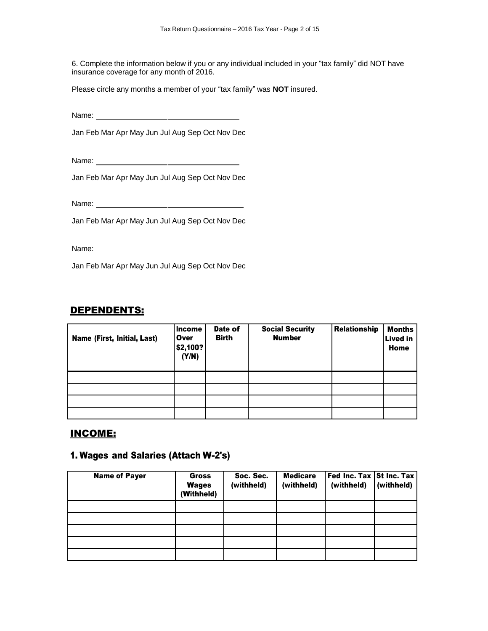6. Complete the information below if you or any individual included in your "tax family" did NOT have insurance coverage for any month of 2016.

Please circle any months a member of your "tax family" was **NOT** insured.

Name:

Jan Feb Mar Apr May Jun Jul Aug Sep Oct Nov Dec

Name:

Jan Feb Mar Apr May Jun Jul Aug Sep Oct Nov Dec

Name:

Jan Feb Mar Apr May Jun Jul Aug Sep Oct Nov Dec

Name:

Jan Feb Mar Apr May Jun Jul Aug Sep Oct Nov Dec

#### DEPENDENTS:

| Name (First, Initial, Last) | Income<br>Over<br>\$2,100?<br>(Y/N) | Date of<br><b>Birth</b> | <b>Social Security</b><br><b>Number</b> | Relationship | <b>Months</b><br><b>Lived in</b><br>Home |
|-----------------------------|-------------------------------------|-------------------------|-----------------------------------------|--------------|------------------------------------------|
|                             |                                     |                         |                                         |              |                                          |
|                             |                                     |                         |                                         |              |                                          |
|                             |                                     |                         |                                         |              |                                          |
|                             |                                     |                         |                                         |              |                                          |

#### INCOME:

#### 1. Wages and Salaries (Attach W-2's)

| <b>Name of Payer</b> | <b>Gross</b><br><b>Wages</b><br>(Withheld) | Soc. Sec.<br>(withheld) | <b>Medicare</b><br>(withheld) | Fed Inc. Tax St Inc. Tax<br>(withheld) | (withheld) |
|----------------------|--------------------------------------------|-------------------------|-------------------------------|----------------------------------------|------------|
|                      |                                            |                         |                               |                                        |            |
|                      |                                            |                         |                               |                                        |            |
|                      |                                            |                         |                               |                                        |            |
|                      |                                            |                         |                               |                                        |            |
|                      |                                            |                         |                               |                                        |            |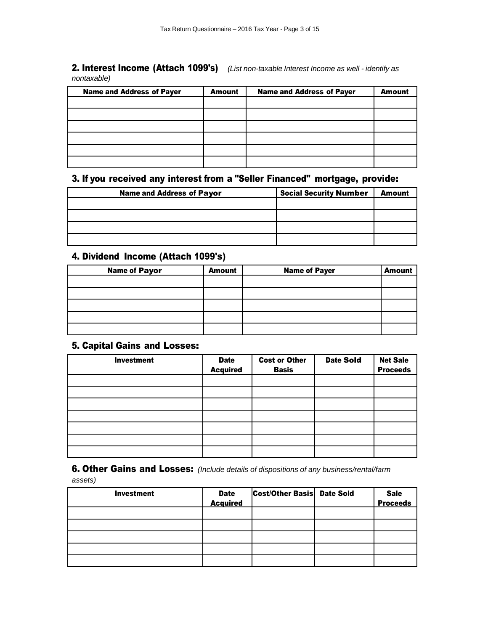#### 2. Interest Income (Attach 1099's) *(List non-taxable Interest Income as well - identify as nontaxable)*

| <b>Name and Address of Payer</b> | <b>Amount</b> | <b>Name and Address of Payer</b> | <b>Amount</b> |
|----------------------------------|---------------|----------------------------------|---------------|
|                                  |               |                                  |               |
|                                  |               |                                  |               |
|                                  |               |                                  |               |
|                                  |               |                                  |               |
|                                  |               |                                  |               |
|                                  |               |                                  |               |

### 3. If you received any interest from a "Seller Financed" mortgage, provide:

| <b>Name and Address of Payor</b> | <b>Social Security Number</b> | <b>Amount</b> |
|----------------------------------|-------------------------------|---------------|
|                                  |                               |               |
|                                  |                               |               |
|                                  |                               |               |
|                                  |                               |               |

### 4. Dividend Income (Attach 1099's)

| <b>Name of Payor</b> | <b>Amount</b> | <b>Name of Payer</b> | <b>Amount</b> |
|----------------------|---------------|----------------------|---------------|
|                      |               |                      |               |
|                      |               |                      |               |
|                      |               |                      |               |
|                      |               |                      |               |
|                      |               |                      |               |

### 5. Capital Gains and Losses:

| <b>Investment</b> | <b>Date</b><br><b>Acquired</b> | <b>Cost or Other</b><br><b>Basis</b> | <b>Date Sold</b> | <b>Net Sale</b><br><b>Proceeds</b> |
|-------------------|--------------------------------|--------------------------------------|------------------|------------------------------------|
|                   |                                |                                      |                  |                                    |
|                   |                                |                                      |                  |                                    |
|                   |                                |                                      |                  |                                    |
|                   |                                |                                      |                  |                                    |
|                   |                                |                                      |                  |                                    |
|                   |                                |                                      |                  |                                    |
|                   |                                |                                      |                  |                                    |

6. Other Gains and Losses: *(Include details of dispositions of any business/rental/farm assets)*

| <b>Investment</b> | Date<br>Acquired | <b>Cost/Other Basis Date Sold</b> | Sale<br>Proceeds |
|-------------------|------------------|-----------------------------------|------------------|
|                   |                  |                                   |                  |
|                   |                  |                                   |                  |
|                   |                  |                                   |                  |
|                   |                  |                                   |                  |
|                   |                  |                                   |                  |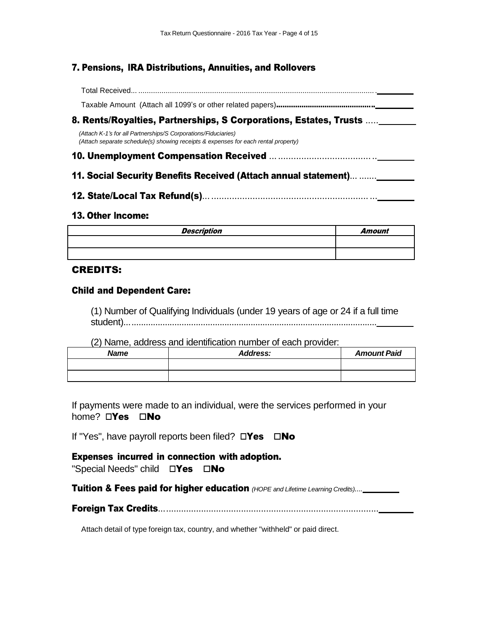### 7. Pensions, IRA Distributions, Annuities, and Rollovers

Total Received... .................................................................................................................

Taxable Amount (Attach all 1099's or other related papers)...............................................

### 8. Rents/Royalties, Partnerships, S Corporations, Estates, Trusts .....

*(Attach K-1's for all Partnerships/S Corporations/Fiduciaries) (Attach separate schedule(s) showing receipts & expenses for each rental property)*

### 10. Unemployment Compensation Received .........................................

#### 11. Social Security Benefits Received (Attach annual statement)... .......

12. State/Local Tax Refund(s)...................................................................

#### 13. Other Income:

| <b>Description</b> | Amount |
|--------------------|--------|
|                    |        |
|                    |        |

#### CREDITS:

#### Child and Dependent Care:

(1) Number of Qualifying Individuals (under 19 years of age or 24 if a full time student)..........................................................................................................

(2) Name, address and identification number of each provider:

| Name | Address: | <b>Amount Paid</b> |
|------|----------|--------------------|
|      |          |                    |
|      |          |                    |

If payments were made to an individual, were the services performed in your home?  $\square$ Yes  $\square$ No

If "Yes", have payroll reports been filed?  $\square$ Yes  $\square$ No

#### Expenses incurred in connection with adoption. "Special Needs" child  $\Box$ Yes  $\Box$ No

Tuition & Fees paid for higher education *(HOPE and Lifetime Learning Credits)....*

Foreign Tax Credits........................................................................................

Attach detail of type foreign tax, country, and whether "withheld" or paid direct.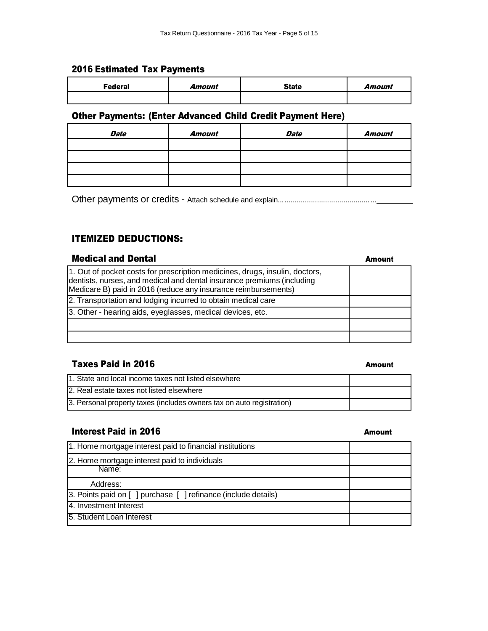#### 2016 Estimated Tax Payments

| <b>Federal</b> | Amount | <b>State</b> | Amount |
|----------------|--------|--------------|--------|
|                |        |              |        |

#### Other Payments: (Enter Advanced Child Credit Payment Here)

| <b>Date</b> | <b>Amount</b> | <b>Date</b> | Amount |
|-------------|---------------|-------------|--------|
|             |               |             |        |
|             |               |             |        |
|             |               |             |        |
|             |               |             |        |

Other payments or credits - Attach schedule and explain................................................

### ITEMIZED DEDUCTIONS:

# **Medical and Dental Amount Amount Amount Amount Amount Amount Amount Amount Amount Amount Amount Amount Amount Amount Amount Amount Amount Amount Amount Amount Amount Amount Amount Amount Amount Amount Amount Amount Amount** 1. Out of pocket costs for prescription medicines, drugs, insulin, doctors, dentists, nurses, and medical and dental insurance premiums (including Medicare B) paid in 2016 (reduce any insurance reimbursements) 2. Transportation and lodging incurred to obtain medical care 3. Other - hearing aids, eyeglasses, medical devices, etc.

#### Taxes Paid in 2016 **Amount** 2016

| 1. State and local income taxes not listed elsewhere                  |  |
|-----------------------------------------------------------------------|--|
| 2. Real estate taxes not listed elsewhere                             |  |
| 3. Personal property taxes (includes owners tax on auto registration) |  |

#### **Interest Paid in 2016** Amount

| 1. Home mortgage interest paid to financial institutions       |  |
|----------------------------------------------------------------|--|
| 2. Home mortgage interest paid to individuals                  |  |
| Name:                                                          |  |
| Address:                                                       |  |
| 3. Points paid on [ ] purchase [ ] refinance (include details) |  |
| 4. Investment Interest                                         |  |
| 5. Student Loan Interest                                       |  |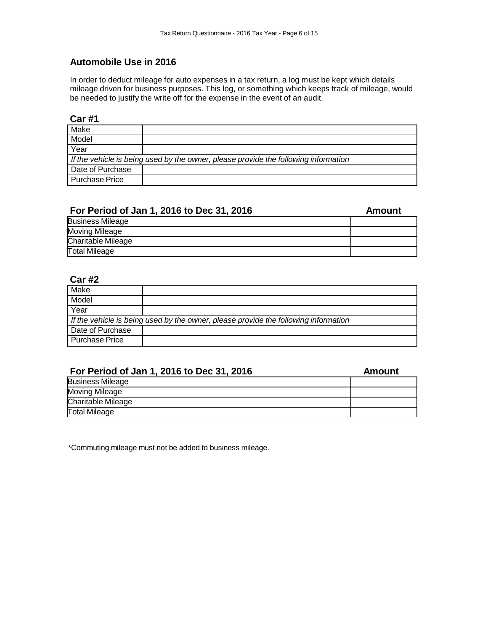### **Automobile Use in 2016**

In order to deduct mileage for auto expenses in a tax return, a log must be kept which details mileage driven for business purposes. This log, or something which keeps track of mileage, would be needed to justify the write off for the expense in the event of an audit.

#### **Car #1**

| Make                                                                                |  |  |
|-------------------------------------------------------------------------------------|--|--|
| Model                                                                               |  |  |
| Year                                                                                |  |  |
| If the vehicle is being used by the owner, please provide the following information |  |  |
| Date of Purchase                                                                    |  |  |
| <b>Purchase Price</b>                                                               |  |  |

### **For Period of Jan 1, 2016 to Dec 31, 2016 Amount**

| <b>Business Mileage</b> |  |
|-------------------------|--|
| Moving Mileage          |  |
| Charitable Mileage      |  |
| <b>Total Mileage</b>    |  |

#### **Car #2**

| Make                                                                                |  |
|-------------------------------------------------------------------------------------|--|
| Model                                                                               |  |
| Year                                                                                |  |
| If the vehicle is being used by the owner, please provide the following information |  |
| Date of Purchase                                                                    |  |
| Purchase Price                                                                      |  |

# **For Period of Jan 1, 2016 to Dec 31, 2016 Amount**

Business Mileage Moving Mileage Charitable Mileage Total Mileage

\*Commuting mileage must not be added to business mileage.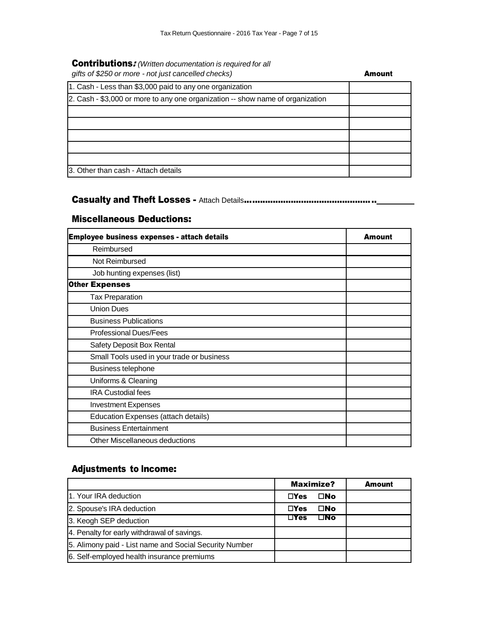### Contributions: *(Written documentation is required for all*

| gifts of \$250 or more - not just cancelled checks)                            | Amount |
|--------------------------------------------------------------------------------|--------|
| 1. Cash - Less than \$3,000 paid to any one organization                       |        |
| 2. Cash - \$3,000 or more to any one organization -- show name of organization |        |
|                                                                                |        |
|                                                                                |        |
|                                                                                |        |
|                                                                                |        |
|                                                                                |        |
| 3. Other than cash - Attach details                                            |        |

### Casualty and Theft Losses - Attach Details...................................................

#### Miscellaneous Deductions:

| Employee business expenses - attach details | Amount |
|---------------------------------------------|--------|
| Reimbursed                                  |        |
| Not Reimbursed                              |        |
| Job hunting expenses (list)                 |        |
| <b>Other Expenses</b>                       |        |
| <b>Tax Preparation</b>                      |        |
| <b>Union Dues</b>                           |        |
| <b>Business Publications</b>                |        |
| <b>Professional Dues/Fees</b>               |        |
| Safety Deposit Box Rental                   |        |
| Small Tools used in your trade or business  |        |
| <b>Business telephone</b>                   |        |
| Uniforms & Cleaning                         |        |
| <b>IRA Custodial fees</b>                   |        |
| <b>Investment Expenses</b>                  |        |
| Education Expenses (attach details)         |        |
| <b>Business Entertainment</b>               |        |
| Other Miscellaneous deductions              |        |

### Adjustments to Income:

|                                                        | Maximize?                  | <b>Amount</b> |
|--------------------------------------------------------|----------------------------|---------------|
| 1. Your IRA deduction                                  | □No<br>$\Box$ Yes          |               |
| 2. Spouse's IRA deduction                              | □No<br>$\Box$ Yes          |               |
| 3. Keogh SEP deduction                                 | $\square$ No<br>$\Box$ Yes |               |
| 4. Penalty for early withdrawal of savings.            |                            |               |
| 5. Alimony paid - List name and Social Security Number |                            |               |
| 6. Self-employed health insurance premiums             |                            |               |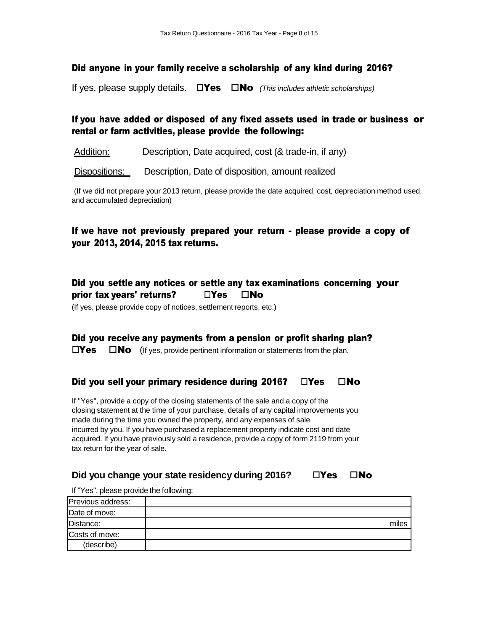#### Did anyone in your family receive a scholarship of any kind during 2016?

If yes, please supply details.  $\Box$  Yes  $\Box$  No (This *includes athletic scholarships*)

### If you have added or disposed of any fixed assets used in trade or business or rental or farm activities, please provide the following:

Addition: Description, Date acquired, cost (& trade-in, if any)

Dispositions: Description, Date of disposition, amount realized

(If we did not prepare your 2013 return, please provide the date acquired, cost, depreciation method used, and accumulated depreciation)

### If we have not previously prepared your return - please provide a copy of your 2013, 2014, 2015 tax returns.

### Did you settle any notices or settle any tax examinations concerning your prior tax years' returns?  $\Box$  Yes  $\Box$  No

(If yes, please provide copy of notices, settlement reports, etc.)

#### Did you receive any payments from a pension or profit sharing plan?

 $\square$ Yes  $\square$ No (If yes, provide pertinent information or statements from the plan.

#### Did you sell your primary residence during 2016?  $\Box$ Yes  $\Box$ No

If "Yes", provide a copy of the closing statements of the sale and a copy of the closing statement at the time of your purchase, details of any capital improvements you made during the time you owned the property, and any expenses of sale incurred by you. If you have purchased a replacement property indicate cost and date acquired. If you have previously sold a residence, provide a copy of form 2119 from your tax return for the year of sale.

#### **Did** you change your state residency during 2016?  $\Box$  Yes  $\Box$  No

If "Yes", please provide the following:

| Previous address: |       |
|-------------------|-------|
| Date of move:     |       |
| Distance:         | miles |
| Costs of move:    |       |
| (describe)        |       |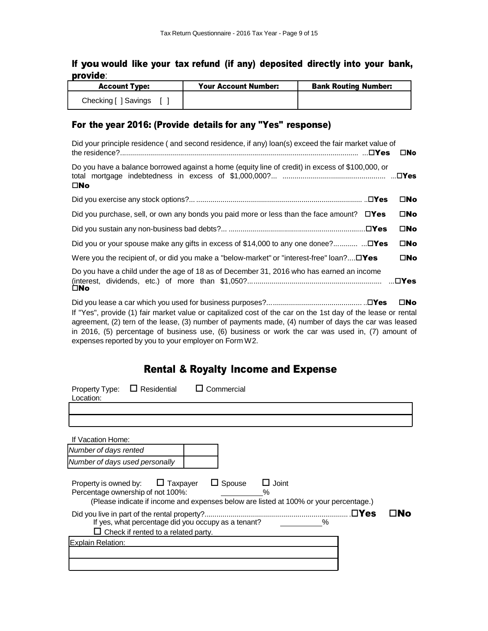### If you would like your tax refund (if any) deposited directly into your bank, provide:

| <b>Account Type:</b> | <b>Your Account Number:</b> | <b>Bank Routing Number:</b> |
|----------------------|-----------------------------|-----------------------------|
| Checking [ ] Savings |                             |                             |

### For the year 2016: (Provide details for any "Yes" response)

expenses reported by you to your employer on Form W2.

| Did your principle residence (and second residence, if any) loan(s) exceed the fair market value of                                                                                                                  | □No          |
|----------------------------------------------------------------------------------------------------------------------------------------------------------------------------------------------------------------------|--------------|
| Do you have a balance borrowed against a home (equity line of credit) in excess of \$100,000, or<br>$\square$ No                                                                                                     |              |
|                                                                                                                                                                                                                      | $\square$ No |
| Did you purchase, sell, or own any bonds you paid more or less than the face amount? $\square Y$ es                                                                                                                  | $\square$ No |
|                                                                                                                                                                                                                      | $\square$ No |
| Did you or your spouse make any gifts in excess of \$14,000 to any one donee?                                                                                                                                        | $\square$ No |
|                                                                                                                                                                                                                      | $\square$ No |
| Do you have a child under the age of 18 as of December 31, 2016 who has earned an income<br>□No                                                                                                                      |              |
| If "Yes", provide (1) fair market value or capitalized cost of the car on the 1st day of the lease or rental<br>agreement, (2) tern of the lease, (3) number of payments made, (4) number of days the car was leased | $\square$ No |

Rental & Royalty Income and Expense

in 2016, (5) percentage of business use, (6) business or work the car was used in, (7) amount of

| $\Box$ Residential<br>Property Type:<br>Location:                                                                      | Commercial                                                                                                                     |
|------------------------------------------------------------------------------------------------------------------------|--------------------------------------------------------------------------------------------------------------------------------|
|                                                                                                                        |                                                                                                                                |
| If Vacation Home:                                                                                                      |                                                                                                                                |
| Number of days rented                                                                                                  |                                                                                                                                |
| Number of days used personally                                                                                         |                                                                                                                                |
| $\Box$ Taxpayer<br>Property is owned by:<br>Percentage ownership of not 100%:                                          | $\Box$ Spouse<br>$\Box$ Joint<br>$\%$<br>(Please indicate if income and expenses below are listed at 100% or your percentage.) |
| If yes, what percentage did you occupy as a tenant?<br>$\Box$ Check if rented to a related party.<br>Explain Relation: | ⊡Yes<br>Nο<br>$\%$                                                                                                             |
|                                                                                                                        |                                                                                                                                |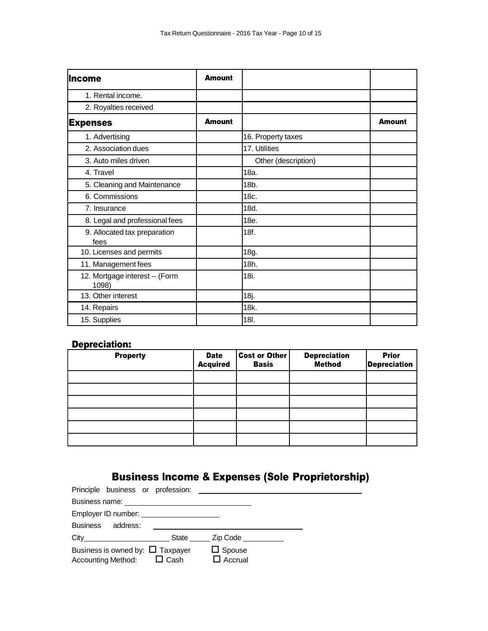| <b>Income</b>                           | <b>Amount</b> |                     |               |
|-----------------------------------------|---------------|---------------------|---------------|
| 1. Rental income.                       |               |                     |               |
| 2. Royalties received                   |               |                     |               |
| <b>Expenses</b>                         | <b>Amount</b> |                     | <b>Amount</b> |
| 1. Advertising                          |               | 16. Property taxes  |               |
| 2. Association dues                     |               | 17. Utilities       |               |
| 3. Auto miles driven                    |               | Other (description) |               |
| 4. Travel                               |               | 18a.                |               |
| 5. Cleaning and Maintenance             |               | 18 <sub>b</sub> .   |               |
| 6. Commissions                          |               | 18c.                |               |
| 7. Insurance                            |               | 18d.                |               |
| 8. Legal and professional fees          |               | 18e.                |               |
| 9. Allocated tax preparation<br>fees    |               | 18f.                |               |
| 10. Licenses and permits                |               | 18g.                |               |
| 11. Management fees                     |               | 18h.                |               |
| 12. Mortgage interest -- (Form<br>1098) |               | 18i.                |               |
| 13. Other interest                      |               | 18j.                |               |
| 14. Repairs                             |               | 18k.                |               |
| 15. Supplies                            |               | 18I.                |               |

### Depreciation:

| <b>Property</b> | <b>Date</b><br><b>Acquired</b> | <b>Cost or Other</b><br><b>Basis</b> | <b>Depreciation</b><br><b>Method</b> | <b>Prior</b><br><b>Depreciation</b> |
|-----------------|--------------------------------|--------------------------------------|--------------------------------------|-------------------------------------|
|                 |                                |                                      |                                      |                                     |
|                 |                                |                                      |                                      |                                     |
|                 |                                |                                      |                                      |                                     |
|                 |                                |                                      |                                      |                                     |
|                 |                                |                                      |                                      |                                     |
|                 |                                |                                      |                                      |                                     |

# Business Income & Expenses (Sole Proprietorship)

| Employer ID number: _______________________                             |                                    |
|-------------------------------------------------------------------------|------------------------------------|
| Business address:                                                       |                                    |
|                                                                         | State _______ Zip Code ___________ |
| Business is owned by: $\Box$ Taxpayer<br>Accounting Method: $\Box$ Cash | $\Box$ Spouse<br>$\Box$ Accrual    |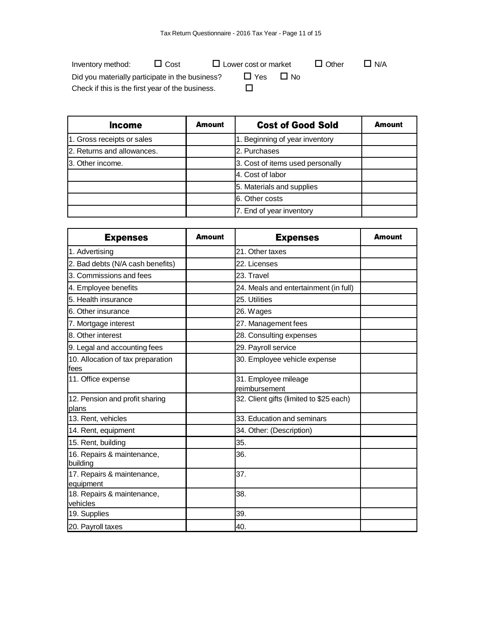| Inventory method:                                | $\Box$ Cost | $\Box$ Lower cost or market |                  | $\Box$ Other | $\Box$ N/A |
|--------------------------------------------------|-------------|-----------------------------|------------------|--------------|------------|
| Did you materially participate in the business?  |             | $\Box$ Yes                  | 1 N <sub>0</sub> |              |            |
| Check if this is the first year of the business. |             |                             |                  |              |            |

| <b>Income</b>              | <b>Amount</b> | <b>Cost of Good Sold</b>         | Amount |
|----------------------------|---------------|----------------------------------|--------|
| 1. Gross receipts or sales |               | 1. Beginning of year inventory   |        |
| 2. Returns and allowances. |               | 2. Purchases                     |        |
| 3. Other income.           |               | 3. Cost of items used personally |        |
|                            |               | 4. Cost of labor                 |        |
|                            |               | 5. Materials and supplies        |        |
|                            |               | 6. Other costs                   |        |
|                            |               | 7. End of year inventory         |        |

| <b>Expenses</b>                           | <b>Amount</b> | <b>Expenses</b>                         | <b>Amount</b> |
|-------------------------------------------|---------------|-----------------------------------------|---------------|
| 1. Advertising                            |               | 21. Other taxes                         |               |
| 2. Bad debts (N/A cash benefits)          |               | 22. Licenses                            |               |
| 3. Commissions and fees                   |               | 23. Travel                              |               |
| 4. Employee benefits                      |               | 24. Meals and entertainment (in full)   |               |
| 5. Health insurance                       |               | 25. Utilities                           |               |
| 6. Other insurance                        |               | 26. Wages                               |               |
| 7. Mortgage interest                      |               | 27. Management fees                     |               |
| 8. Other interest                         |               | 28. Consulting expenses                 |               |
| 9. Legal and accounting fees              |               | 29. Payroll service                     |               |
| 10. Allocation of tax preparation<br>fees |               | 30. Employee vehicle expense            |               |
| 11. Office expense                        |               | 31. Employee mileage<br>reimbursement   |               |
| 12. Pension and profit sharing<br>blans   |               | 32. Client gifts (limited to \$25 each) |               |
| 13. Rent, vehicles                        |               | 33. Education and seminars              |               |
| 14. Rent, equipment                       |               | 34. Other: (Description)                |               |
| 15. Rent, building                        |               | 35.                                     |               |
| 16. Repairs & maintenance,<br>building    |               | 36.                                     |               |
| 17. Repairs & maintenance,<br>equipment   |               | 37.                                     |               |
| 18. Repairs & maintenance,<br>vehicles    |               | 38.                                     |               |
| 19. Supplies                              |               | 39.                                     |               |
| 20. Payroll taxes                         |               | 40.                                     |               |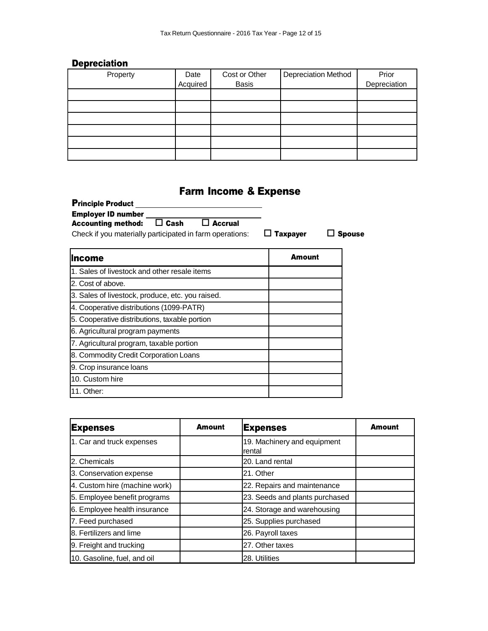## **Depreciation**

| Property | Date<br>Acquired | Cost or Other<br><b>Basis</b> | Depreciation Method | Prior<br>Depreciation |
|----------|------------------|-------------------------------|---------------------|-----------------------|
|          |                  |                               |                     |                       |
|          |                  |                               |                     |                       |
|          |                  |                               |                     |                       |
|          |                  |                               |                     |                       |
|          |                  |                               |                     |                       |
|          |                  |                               |                     |                       |

# Farm Income & Expense

| <b>Principle Product</b><br><b>Employer ID number</b><br>Cash<br><b>Accrual</b><br><b>Accounting method:</b><br>Check if you materially participated in farm operations: | <b>Taxpayer</b> | <b>Spouse</b> |
|--------------------------------------------------------------------------------------------------------------------------------------------------------------------------|-----------------|---------------|
| lincome                                                                                                                                                                  | Amount          |               |
| 1. Sales of livestock and other resale items                                                                                                                             |                 |               |
| 2. Cost of above.                                                                                                                                                        |                 |               |
| 3. Sales of livestock, produce, etc. you raised.                                                                                                                         |                 |               |
| 4. Cooperative distributions (1099-PATR)                                                                                                                                 |                 |               |
| 5. Cooperative distributions, taxable portion                                                                                                                            |                 |               |
| 6. Agricultural program payments                                                                                                                                         |                 |               |
| 7. Agricultural program, taxable portion                                                                                                                                 |                 |               |
| 8. Commodity Credit Corporation Loans                                                                                                                                    |                 |               |
| 9. Crop insurance loans                                                                                                                                                  |                 |               |
| 10. Custom hire                                                                                                                                                          |                 |               |
| 11. Other:                                                                                                                                                               |                 |               |

| <b>Expenses</b>               | <b>Amount</b> | <b>Expenses</b>                       | Amount |
|-------------------------------|---------------|---------------------------------------|--------|
| 1. Car and truck expenses     |               | 19. Machinery and equipment<br>rental |        |
| 2. Chemicals                  |               | 20. Land rental                       |        |
| 3. Conservation expense       |               | 21. Other                             |        |
| 4. Custom hire (machine work) |               | 22. Repairs and maintenance           |        |
| 5. Employee benefit programs  |               | 23. Seeds and plants purchased        |        |
| 6. Employee health insurance  |               | 24. Storage and warehousing           |        |
| 7. Feed purchased             |               | 25. Supplies purchased                |        |
| 8. Fertilizers and lime       |               | 26. Payroll taxes                     |        |
| 9. Freight and trucking       |               | 27. Other taxes                       |        |
| 10. Gasoline, fuel, and oil   |               | 28. Utilities                         |        |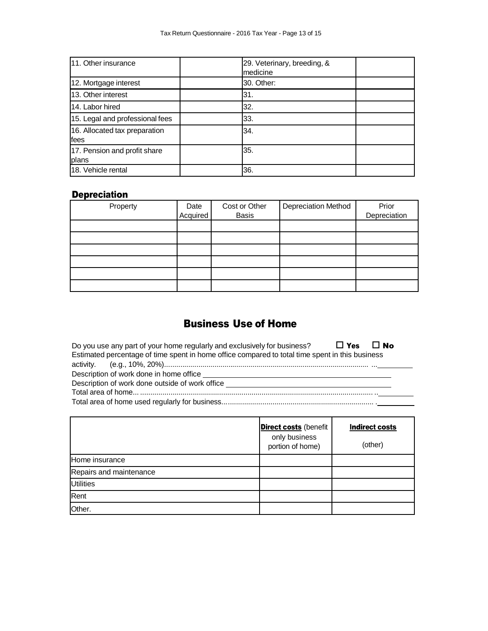| 11. Other insurance                   | medicine   | 29. Veterinary, breeding, & |  |
|---------------------------------------|------------|-----------------------------|--|
| 12. Mortgage interest                 | 30. Other: |                             |  |
| 13. Other interest                    | 31.        |                             |  |
| 14. Labor hired                       | 32.        |                             |  |
| 15. Legal and professional fees       | 33.        |                             |  |
| 16. Allocated tax preparation<br>fees | 34.        |                             |  |
| 17. Pension and profit share<br>plans | 35.        |                             |  |
| 18. Vehicle rental                    | 36.        |                             |  |

### **Depreciation**

| Property | Date<br>Acquired | Cost or Other<br><b>Basis</b> | <b>Depreciation Method</b> | Prior<br>Depreciation |
|----------|------------------|-------------------------------|----------------------------|-----------------------|
|          |                  |                               |                            |                       |
|          |                  |                               |                            |                       |
|          |                  |                               |                            |                       |
|          |                  |                               |                            |                       |
|          |                  |                               |                            |                       |
|          |                  |                               |                            |                       |

# Business Use of Home

| Do you use any part of your home regularly and exclusively for business? $\Box$ Yes $\Box$ No   |
|-------------------------------------------------------------------------------------------------|
| Estimated percentage of time spent in home office compared to total time spent in this business |
|                                                                                                 |
| Description of work done in home office                                                         |
| Description of work done outside of work office                                                 |
|                                                                                                 |
|                                                                                                 |

|                         | <b>Direct costs</b> (benefit<br>only business<br>portion of home) | <b>Indirect costs</b><br>(other) |
|-------------------------|-------------------------------------------------------------------|----------------------------------|
| Home insurance          |                                                                   |                                  |
| Repairs and maintenance |                                                                   |                                  |
| <b>Utilities</b>        |                                                                   |                                  |
| Rent                    |                                                                   |                                  |
| Other.                  |                                                                   |                                  |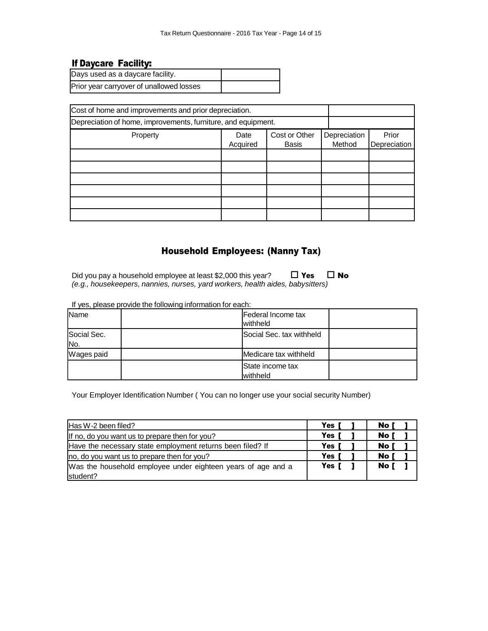### If Daycare Facility:

| Days used as a daycare facility.         |  |
|------------------------------------------|--|
| Prior year carryover of unallowed losses |  |

| Cost of home and improvements and prior depreciation.         |                  |                               |                        |                       |
|---------------------------------------------------------------|------------------|-------------------------------|------------------------|-----------------------|
| Depreciation of home, improvements, furniture, and equipment. |                  |                               |                        |                       |
| Property                                                      | Date<br>Acquired | Cost or Other<br><b>Basis</b> | Depreciation<br>Method | Prior<br>Depreciation |
|                                                               |                  |                               |                        |                       |
|                                                               |                  |                               |                        |                       |
|                                                               |                  |                               |                        |                       |
|                                                               |                  |                               |                        |                       |
|                                                               |                  |                               |                        |                       |
|                                                               |                  |                               |                        |                       |

### Household Employees: (Nanny Tax)

Did you pay a household employee at least \$2,000 this year?  $\Box$  Yes  $\Box$  No *(e.g., housekeepers, nannies, nurses, yard workers, health aides, babysitters)*

| <b>Name</b>         | Federal Income tax<br>withheld |
|---------------------|--------------------------------|
| Social Sec.<br>INo. | Social Sec. tax withheld       |
| Wages paid          | Medicare tax withheld          |
|                     | State income tax<br>withheld   |

If yes, please provide the following information for each:

Your Employer Identification Number ( You can no longer use your social security Number)

| Has W-2 been filed?                                          | Yes   | No l |
|--------------------------------------------------------------|-------|------|
| If no, do you want us to prepare then for you?               | Yes   | No l |
| Have the necessary state employment returns been filed? If   | Yes.  | No l |
| no, do you want us to prepare then for you?                  | Yes   | No l |
| Was the household employee under eighteen years of age and a | Yes l | No I |
| student?                                                     |       |      |